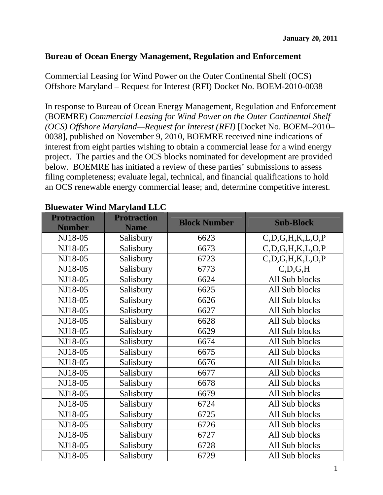#### **Bureau of Ocean Energy Management, Regulation and Enforcement**

Commercial Leasing for Wind Power on the Outer Continental Shelf (OCS) Offshore Maryland – Request for Interest (RFI) Docket No. BOEM-2010-0038

In response to Bureau of Ocean Energy Management, Regulation and Enforcement (BOEMRE) *Commercial Leasing for Wind Power on the Outer Continental Shelf (OCS) Offshore Maryland—Request for Interest (RFI)* [Docket No. BOEM–2010– 0038], published on November 9, 2010, BOEMRE received nine indications of interest from eight parties wishing to obtain a commercial lease for a wind energy project. The parties and the OCS blocks nominated for development are provided below. BOEMRE has initiated a review of these parties' submissions to assess filing completeness; evaluate legal, technical, and financial qualifications to hold an OCS renewable energy commercial lease; and, determine competitive interest.

| <b>Protraction</b><br><b>Number</b> | <b>Protraction</b><br><b>Name</b> | <b>Block Number</b> | <b>Sub-Block</b>       |
|-------------------------------------|-----------------------------------|---------------------|------------------------|
| NJ18-05                             | Salisbury                         | 6623                | C, D, G, H, K, L, O, P |
| NJ18-05                             | Salisbury                         | 6673                | C, D, G, H, K, L, O, P |
| NJ18-05                             | Salisbury                         | 6723                | C, D, G, H, K, L, O, P |
| NJ18-05                             | Salisbury                         | 6773                | C, D, G, H             |
| NJ18-05                             | Salisbury                         | 6624                | All Sub blocks         |
| NJ18-05                             | Salisbury                         | 6625                | All Sub blocks         |
| NJ18-05                             | Salisbury                         | 6626                | All Sub blocks         |
| NJ18-05                             | Salisbury                         | 6627                | All Sub blocks         |
| NJ18-05                             | Salisbury                         | 6628                | All Sub blocks         |
| NJ18-05                             | Salisbury                         | 6629                | All Sub blocks         |
| NJ18-05                             | Salisbury                         | 6674                | All Sub blocks         |
| NJ18-05                             | Salisbury                         | 6675                | All Sub blocks         |
| NJ18-05                             | Salisbury                         | 6676                | All Sub blocks         |
| NJ18-05                             | Salisbury                         | 6677                | All Sub blocks         |
| NJ18-05                             | Salisbury                         | 6678                | All Sub blocks         |
| NJ18-05                             | Salisbury                         | 6679                | All Sub blocks         |
| NJ18-05                             | Salisbury                         | 6724                | All Sub blocks         |
| NJ18-05                             | Salisbury                         | 6725                | All Sub blocks         |
| NJ18-05                             | Salisbury                         | 6726                | All Sub blocks         |
| NJ18-05                             | Salisbury                         | 6727                | All Sub blocks         |
| NJ18-05                             | Salisbury                         | 6728                | All Sub blocks         |
| NJ18-05                             | Salisbury                         | 6729                | All Sub blocks         |

#### **Bluewater Wind Maryland LLC**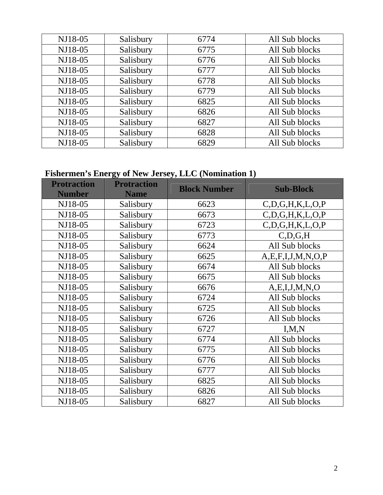| NJ18-05 | Salisbury | 6774 | All Sub blocks |
|---------|-----------|------|----------------|
| NJ18-05 | Salisbury | 6775 | All Sub blocks |
| NJ18-05 | Salisbury | 6776 | All Sub blocks |
| NJ18-05 | Salisbury | 6777 | All Sub blocks |
| NJ18-05 | Salisbury | 6778 | All Sub blocks |
| NJ18-05 | Salisbury | 6779 | All Sub blocks |
| NJ18-05 | Salisbury | 6825 | All Sub blocks |
| NJ18-05 | Salisbury | 6826 | All Sub blocks |
| NJ18-05 | Salisbury | 6827 | All Sub blocks |
| NJ18-05 | Salisbury | 6828 | All Sub blocks |
| NJ18-05 | Salisbury | 6829 | All Sub blocks |

# **Fishermen's Energy of New Jersey, LLC (Nomination 1)**

| <b>Protraction</b><br><b>Number</b> | <b>Protraction</b><br><b>Name</b> | <b>Block Number</b> | <b>Sub-Block</b>          |
|-------------------------------------|-----------------------------------|---------------------|---------------------------|
| NJ18-05                             | Salisbury                         | 6623                | C, D, G, H, K, L, O, P    |
| NJ18-05                             | Salisbury                         | 6673                | C, D, G, H, K, L, O, P    |
| NJ18-05                             | Salisbury                         | 6723                | C, D, G, H, K, L, O, P    |
| NJ18-05                             | Salisbury                         | 6773                | C, D, G, H                |
| NJ18-05                             | Salisbury                         | 6624                | All Sub blocks            |
| NJ18-05                             | Salisbury                         | 6625                | A, E, F, I, J, M, N, O, P |
| NJ18-05                             | Salisbury                         | 6674                | All Sub blocks            |
| NJ18-05                             | Salisbury                         | 6675                | All Sub blocks            |
| NJ18-05                             | Salisbury                         | 6676                | A, E, I, J, M, N, O       |
| NJ18-05                             | Salisbury                         | 6724                | All Sub blocks            |
| NJ18-05                             | Salisbury                         | 6725                | All Sub blocks            |
| NJ18-05                             | Salisbury                         | 6726                | All Sub blocks            |
| NJ18-05                             | Salisbury                         | 6727                | I, M, N                   |
| NJ18-05                             | Salisbury                         | 6774                | All Sub blocks            |
| NJ18-05                             | Salisbury                         | 6775                | All Sub blocks            |
| NJ18-05                             | Salisbury                         | 6776                | All Sub blocks            |
| NJ18-05                             | Salisbury                         | 6777                | All Sub blocks            |
| NJ18-05                             | Salisbury                         | 6825                | All Sub blocks            |
| NJ18-05                             | Salisbury                         | 6826                | All Sub blocks            |
| NJ18-05                             | Salisbury                         | 6827                | All Sub blocks            |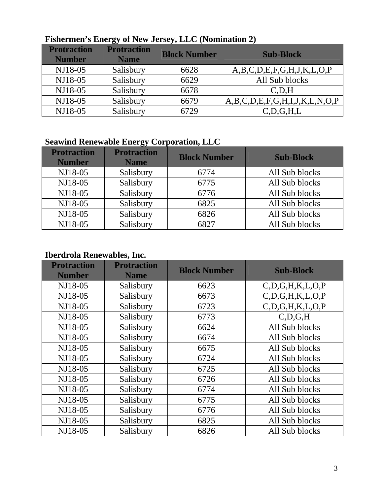| <b>Protraction</b><br><b>Number</b> | <b>Protraction</b><br><b>Name</b> | <b>Block Number</b> | <b>Sub-Block</b>              |
|-------------------------------------|-----------------------------------|---------------------|-------------------------------|
| NJ18-05                             | Salisbury                         | 6628                | A,B,C,D,E,F,G,H,J,K,L,O,P     |
| NJ18-05                             | Salisbury                         | 6629                | All Sub blocks                |
| NJ18-05                             | Salisbury                         | 6678                | C.D.H                         |
| NJ18-05                             | Salisbury                         | 6679                | A,B,C,D,E,F,G,H,I,J,K,L,N,O,P |
| NJ18-05                             | Salisbury                         | 6729                | C, D, G, H, L                 |

## **Fishermen's Energy of New Jersey, LLC (Nomination 2)**

### **Seawind Renewable Energy Corporation, LLC**

| <b>Protraction</b><br><b>Number</b> | <b>Protraction</b><br><b>Name</b> | <b>Block Number</b> | <b>Sub-Block</b> |
|-------------------------------------|-----------------------------------|---------------------|------------------|
| NJ18-05                             | Salisbury                         | 6774                | All Sub blocks   |
| NJ18-05                             | Salisbury                         | 6775                | All Sub blocks   |
| NJ18-05                             | Salisbury                         | 6776                | All Sub blocks   |
| NJ18-05                             | Salisbury                         | 6825                | All Sub blocks   |
| NJ18-05                             | Salisbury                         | 6826                | All Sub blocks   |
| NJ18-05                             | Salisbury                         | 6827                | All Sub blocks   |

### **Iberdrola Renewables, Inc.**

| <b>Protraction</b><br><b>Number</b> | <b>Protraction</b><br><b>Name</b> | <b>Block Number</b> | <b>Sub-Block</b>       |
|-------------------------------------|-----------------------------------|---------------------|------------------------|
| NJ18-05                             | Salisbury                         | 6623                | C, D, G, H, K, L, O, P |
| NJ18-05                             | Salisbury                         | 6673                | C, D, G, H, K, L, O, P |
| NJ18-05                             | Salisbury                         | 6723                | C, D, G, H, K, L, O, P |
| NJ18-05                             | Salisbury                         | 6773                | C.D.G.H                |
| NJ18-05                             | Salisbury                         | 6624                | All Sub blocks         |
| NJ18-05                             | Salisbury                         | 6674                | All Sub blocks         |
| NJ18-05                             | Salisbury                         | 6675                | All Sub blocks         |
| NJ18-05                             | Salisbury                         | 6724                | All Sub blocks         |
| NJ18-05                             | Salisbury                         | 6725                | All Sub blocks         |
| NJ18-05                             | Salisbury                         | 6726                | All Sub blocks         |
| NJ18-05                             | Salisbury                         | 6774                | All Sub blocks         |
| NJ18-05                             | Salisbury                         | 6775                | All Sub blocks         |
| NJ18-05                             | Salisbury                         | 6776                | All Sub blocks         |
| NJ18-05                             | Salisbury                         | 6825                | All Sub blocks         |
| NJ18-05                             | Salisbury                         | 6826                | All Sub blocks         |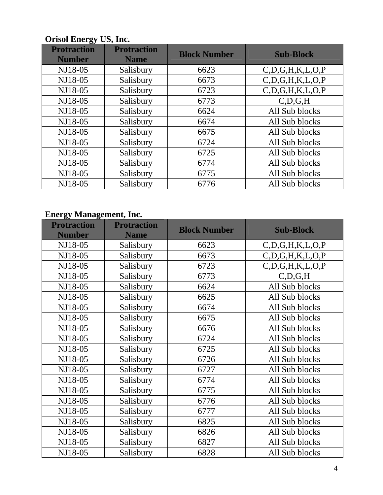| ञ<br><b>Protraction</b><br><b>Number</b> | <b>Protraction</b><br><b>Name</b> | <b>Block Number</b> | <b>Sub-Block</b>       |
|------------------------------------------|-----------------------------------|---------------------|------------------------|
| NJ18-05                                  | Salisbury                         | 6623                | C, D, G, H, K, L, O, P |
| NJ18-05                                  | Salisbury                         | 6673                | C, D, G, H, K, L, O, P |
| NJ18-05                                  | Salisbury                         | 6723                | C, D, G, H, K, L, O, P |
| NJ18-05                                  | Salisbury                         | 6773                | C.D.G.H                |
| NJ18-05                                  | Salisbury                         | 6624                | All Sub blocks         |
| NJ18-05                                  | Salisbury                         | 6674                | All Sub blocks         |
| NJ18-05                                  | Salisbury                         | 6675                | All Sub blocks         |
| NJ18-05                                  | Salisbury                         | 6724                | All Sub blocks         |
| NJ18-05                                  | Salisbury                         | 6725                | All Sub blocks         |
| NJ18-05                                  | Salisbury                         | 6774                | All Sub blocks         |
| NJ18-05                                  | Salisbury                         | 6775                | All Sub blocks         |
| NJ18-05                                  | Salisbury                         | 6776                | All Sub blocks         |

### **Orisol Energy US, Inc.**

### **Energy Management, Inc.**

| <b>Protraction</b><br><b>Number</b> | <b>Protraction</b><br><b>Name</b> | <b>Block Number</b> | <b>Sub-Block</b>       |
|-------------------------------------|-----------------------------------|---------------------|------------------------|
| NJ18-05                             | Salisbury                         | 6623                | C, D, G, H, K, L, O, P |
| NJ18-05                             | Salisbury                         | 6673                | C, D, G, H, K, L, O, P |
| NJ18-05                             | Salisbury                         | 6723                | C, D, G, H, K, L, O, P |
| NJ18-05                             | Salisbury                         | 6773                | C,D,G,H                |
| NJ18-05                             | Salisbury                         | 6624                | All Sub blocks         |
| NJ18-05                             | Salisbury                         | 6625                | All Sub blocks         |
| NJ18-05                             | Salisbury                         | 6674                | All Sub blocks         |
| NJ18-05                             | Salisbury                         | 6675                | All Sub blocks         |
| NJ18-05                             | Salisbury                         | 6676                | All Sub blocks         |
| NJ18-05                             | Salisbury                         | 6724                | All Sub blocks         |
| NJ18-05                             | Salisbury                         | 6725                | All Sub blocks         |
| NJ18-05                             | Salisbury                         | 6726                | All Sub blocks         |
| NJ18-05                             | Salisbury                         | 6727                | All Sub blocks         |
| NJ18-05                             | Salisbury                         | 6774                | All Sub blocks         |
| NJ18-05                             | Salisbury                         | 6775                | All Sub blocks         |
| NJ18-05                             | Salisbury                         | 6776                | All Sub blocks         |
| NJ18-05                             | Salisbury                         | 6777                | All Sub blocks         |
| NJ18-05                             | Salisbury                         | 6825                | All Sub blocks         |
| NJ18-05                             | Salisbury                         | 6826                | All Sub blocks         |
| NJ18-05                             | Salisbury                         | 6827                | All Sub blocks         |
| NJ18-05                             | Salisbury                         | 6828                | All Sub blocks         |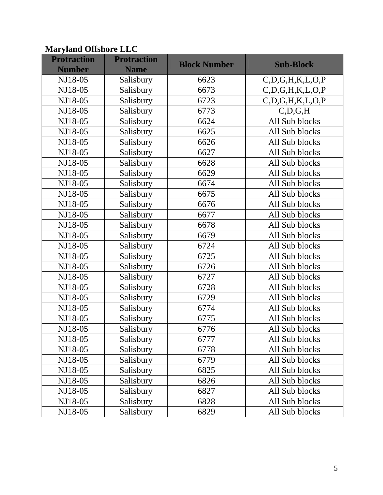## **Maryland Offshore LLC**

| <b>Protraction</b><br><b>Number</b> | <b>Protraction</b><br><b>Name</b> | <b>Block Number</b> | <b>Sub-Block</b>       |
|-------------------------------------|-----------------------------------|---------------------|------------------------|
| NJ18-05                             | Salisbury                         | 6623                | C, D, G, H, K, L, O, P |
| NJ18-05                             | Salisbury                         | 6673                | C, D, G, H, K, L, O, P |
| NJ18-05                             | Salisbury                         | 6723                | C, D, G, H, K, L, O, P |
| NJ18-05                             | Salisbury                         | 6773                | C, D, G, H             |
| NJ18-05                             | Salisbury                         | 6624                | All Sub blocks         |
| NJ18-05                             | Salisbury                         | 6625                | All Sub blocks         |
| NJ18-05                             | Salisbury                         | 6626                | All Sub blocks         |
| NJ18-05                             | Salisbury                         | 6627                | All Sub blocks         |
| NJ18-05                             | Salisbury                         | 6628                | All Sub blocks         |
| NJ18-05                             | Salisbury                         | 6629                | All Sub blocks         |
| NJ18-05                             | Salisbury                         | 6674                | All Sub blocks         |
| NJ18-05                             | Salisbury                         | 6675                | All Sub blocks         |
| NJ18-05                             | Salisbury                         | 6676                | All Sub blocks         |
| NJ18-05                             | Salisbury                         | 6677                | All Sub blocks         |
| NJ18-05                             | Salisbury                         | 6678                | All Sub blocks         |
| NJ18-05                             | Salisbury                         | 6679                | All Sub blocks         |
| NJ18-05                             | Salisbury                         | 6724                | All Sub blocks         |
| NJ18-05                             | Salisbury                         | 6725                | All Sub blocks         |
| NJ18-05                             | Salisbury                         | 6726                | All Sub blocks         |
| NJ18-05                             | Salisbury                         | 6727                | All Sub blocks         |
| NJ18-05                             | Salisbury                         | 6728                | All Sub blocks         |
| NJ18-05                             | Salisbury                         | 6729                | All Sub blocks         |
| NJ18-05                             | Salisbury                         | 6774                | All Sub blocks         |
| NJ18-05                             | Salisbury                         | 6775                | All Sub blocks         |
| NJ18-05                             | Salisbury                         | 6776                | All Sub blocks         |
| NJ18-05                             | Salisbury                         | 6777                | All Sub blocks         |
| NJ18-05                             | Salisbury                         | 6778                | All Sub blocks         |
| NJ18-05                             | Salisbury                         | 6779                | All Sub blocks         |
| NJ18-05                             | Salisbury                         | 6825                | All Sub blocks         |
| NJ18-05                             | Salisbury                         | 6826                | All Sub blocks         |
| NJ18-05                             | Salisbury                         | 6827                | All Sub blocks         |
| NJ18-05                             | Salisbury                         | 6828                | All Sub blocks         |
| NJ18-05                             | Salisbury                         | 6829                | All Sub blocks         |